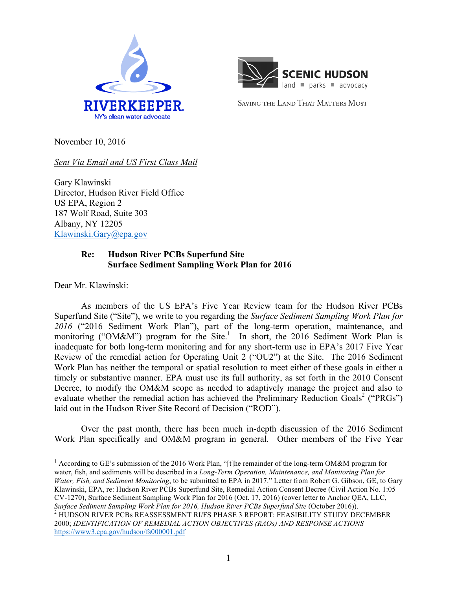



SAVING THE LAND THAT MATTERS MOST

November 10, 2016

*Sent Via Email and US First Class Mail*

Gary Klawinski Director, Hudson River Field Office US EPA, Region 2 187 Wolf Road, Suite 303 Albany, NY 12205 Klawinski.Gary@epa.gov

## **Re: Hudson River PCBs Superfund Site Surface Sediment Sampling Work Plan for 2016**

Dear Mr. Klawinski:

As members of the US EPA's Five Year Review team for the Hudson River PCBs Superfund Site ("Site"), we write to you regarding the *Surface Sediment Sampling Work Plan for 2016* ("2016 Sediment Work Plan"), part of the long-term operation, maintenance, and monitoring ("OM&M") program for the Site.<sup>1</sup> In short, the 2016 Sediment Work Plan is inadequate for both long-term monitoring and for any short-term use in EPA's 2017 Five Year Review of the remedial action for Operating Unit 2 ("OU2") at the Site. The 2016 Sediment Work Plan has neither the temporal or spatial resolution to meet either of these goals in either a timely or substantive manner. EPA must use its full authority, as set forth in the 2010 Consent Decree, to modify the OM&M scope as needed to adaptively manage the project and also to evaluate whether the remedial action has achieved the Preliminary Reduction Goals<sup>2</sup> ("PRGs") laid out in the Hudson River Site Record of Decision ("ROD").

Over the past month, there has been much in-depth discussion of the 2016 Sediment Work Plan specifically and OM&M program in general. Other members of the Five Year

<sup>1</sup> According to GE's submission of the 2016 Work Plan, "[t]he remainder of the long-term OM&M program for water, fish, and sediments will be described in a *Long-Term Operation, Maintenance, and Monitoring Plan for Water, Fish, and Sediment Monitoring*, to be submitted to EPA in 2017." Letter from Robert G. Gibson, GE, to Gary Klawinski, EPA, re: Hudson River PCBs Superfund Site, Remedial Action Consent Decree (Civil Action No. 1:05 CV-1270), Surface Sediment Sampling Work Plan for 2016 (Oct. 17, 2016) (cover letter to Anchor QEA, LLC,

*Surface Sediment Sampling Work Plan for 2016, Hudson River PCBs Superfund Site* (October 2016)). <sup>2</sup> HUDSON RIVER PCBs REASSESSMENT RI/FS PHASE 3 REPORT: FEASIBILITY STUDY DECEMBER 2000; *IDENTIFICATION OF REMEDIAL ACTION OBJECTIVES (RAOs) AND RESPONSE ACTIONS*  https://www3.epa.gov/hudson/fs000001.pdf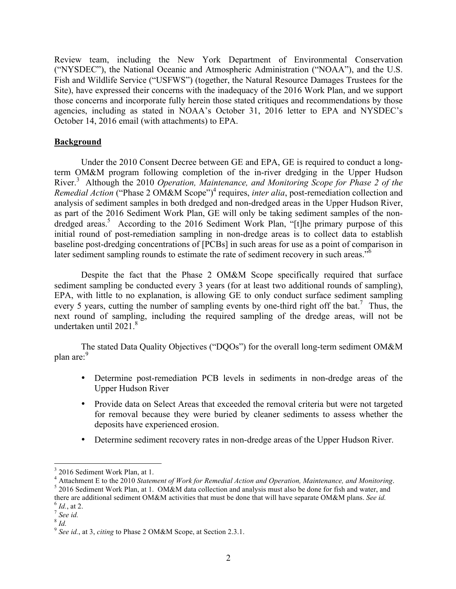Review team, including the New York Department of Environmental Conservation ("NYSDEC"), the National Oceanic and Atmospheric Administration ("NOAA"), and the U.S. Fish and Wildlife Service ("USFWS") (together, the Natural Resource Damages Trustees for the Site), have expressed their concerns with the inadequacy of the 2016 Work Plan, and we support those concerns and incorporate fully herein those stated critiques and recommendations by those agencies, including as stated in NOAA's October 31, 2016 letter to EPA and NYSDEC's October 14, 2016 email (with attachments) to EPA.

## **Background**

Under the 2010 Consent Decree between GE and EPA, GE is required to conduct a longterm OM&M program following completion of the in-river dredging in the Upper Hudson River.<sup>3</sup> Although the 2010 *Operation, Maintenance, and Monitoring Scope for Phase 2 of the Remedial Action* ("Phase 2 OM&M Scope")<sup>4</sup> requires, *inter alia*, post-remediation collection and analysis of sediment samples in both dredged and non-dredged areas in the Upper Hudson River, as part of the 2016 Sediment Work Plan, GE will only be taking sediment samples of the nondredged areas.<sup>5</sup> According to the 2016 Sediment Work Plan, "[t]he primary purpose of this initial round of post-remediation sampling in non-dredge areas is to collect data to establish baseline post-dredging concentrations of [PCBs] in such areas for use as a point of comparison in later sediment sampling rounds to estimate the rate of sediment recovery in such areas."<sup>6</sup>

Despite the fact that the Phase 2 OM&M Scope specifically required that surface sediment sampling be conducted every 3 years (for at least two additional rounds of sampling), EPA, with little to no explanation, is allowing GE to only conduct surface sediment sampling every 5 years, cutting the number of sampling events by one-third right off the bat.<sup>7</sup> Thus, the next round of sampling, including the required sampling of the dredge areas, will not be undertaken until  $2021<sup>8</sup>$ 

The stated Data Quality Objectives ("DQOs") for the overall long-term sediment OM&M plan are:<sup>9</sup>

- Determine post-remediation PCB levels in sediments in non-dredge areas of the Upper Hudson River
- Provide data on Select Areas that exceeded the removal criteria but were not targeted for removal because they were buried by cleaner sediments to assess whether the deposits have experienced erosion.
- Determine sediment recovery rates in non-dredge areas of the Upper Hudson River.

 <sup>3</sup> 2016 Sediment Work Plan, at 1.

<sup>&</sup>lt;sup>4</sup> Attachment E to the 2010 *Statement of Work for Remedial Action and Operation, Maintenance, and Monitoring*. <sup>5</sup> 2016 Sediment Work Plan, at 1. OM&M data collection and analysis must also be done for fish and water, an there are additional sediment OM&M activities that must be done that will have separate OM&M plans. *See id.* <sup>6</sup> *Id.*, at 2. <sup>7</sup> *See id.* <sup>7</sup> *See id.* 

<sup>8</sup> *Id.*

<sup>9</sup> *See id.*, at 3, *citing* to Phase 2 OM&M Scope, at Section 2.3.1.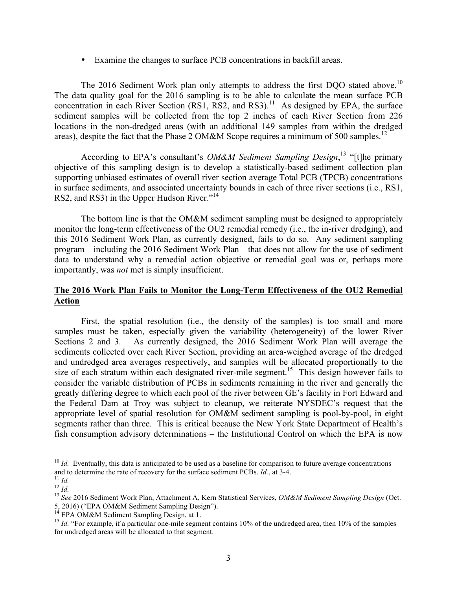• Examine the changes to surface PCB concentrations in backfill areas.

The 2016 Sediment Work plan only attempts to address the first DQO stated above.<sup>10</sup> The data quality goal for the 2016 sampling is to be able to calculate the mean surface PCB concentration in each River Section (RS1, RS2, and RS3).<sup>11</sup> As designed by EPA, the surface sediment samples will be collected from the top 2 inches of each River Section from 226 locations in the non-dredged areas (with an additional 149 samples from within the dredged areas), despite the fact that the Phase 2 OM&M Scope requires a minimum of 500 samples.<sup>12</sup>

According to EPA's consultant's *OM&M Sediment Sampling Design*, <sup>13</sup> "[t]he primary objective of this sampling design is to develop a statistically-based sediment collection plan supporting unbiased estimates of overall river section average Total PCB (TPCB) concentrations in surface sediments, and associated uncertainty bounds in each of three river sections (i.e., RS1, RS2, and RS3) in the Upper Hudson River."<sup>14</sup>

The bottom line is that the OM&M sediment sampling must be designed to appropriately monitor the long-term effectiveness of the OU2 remedial remedy (i.e., the in-river dredging), and this 2016 Sediment Work Plan, as currently designed, fails to do so. Any sediment sampling program—including the 2016 Sediment Work Plan—that does not allow for the use of sediment data to understand why a remedial action objective or remedial goal was or, perhaps more importantly, was *not* met is simply insufficient.

## **The 2016 Work Plan Fails to Monitor the Long-Term Effectiveness of the OU2 Remedial Action**

First, the spatial resolution (i.e., the density of the samples) is too small and more samples must be taken, especially given the variability (heterogeneity) of the lower River Sections 2 and 3. As currently designed, the 2016 Sediment Work Plan will average the sediments collected over each River Section, providing an area-weighed average of the dredged and undredged area averages respectively, and samples will be allocated proportionally to the size of each stratum within each designated river-mile segment.<sup>15</sup> This design however fails to consider the variable distribution of PCBs in sediments remaining in the river and generally the greatly differing degree to which each pool of the river between GE's facility in Fort Edward and the Federal Dam at Troy was subject to cleanup, we reiterate NYSDEC's request that the appropriate level of spatial resolution for OM&M sediment sampling is pool-by-pool, in eight segments rather than three. This is critical because the New York State Department of Health's fish consumption advisory determinations – the Institutional Control on which the EPA is now

<sup>&</sup>lt;sup>10</sup> *Id.* Eventually, this data is anticipated to be used as a baseline for comparison to future average concentrations

and to determine the rate of recovery for the surface sediment PCBs. *Id.*, at 3-4.<br><sup>11</sup> *Id.*<br><sup>12</sup> *Id.*<br><sup>13</sup> *See* 2016 Sediment Work Plan, Attachment A, Kern Statistical Services, *OM&M Sediment Sampling Design* (Oct.<br>5

<sup>&</sup>lt;sup>15</sup> *Id.* "For example, if a particular one-mile segment contains 10% of the undredged area, then 10% of the samples for undredged areas will be allocated to that segment.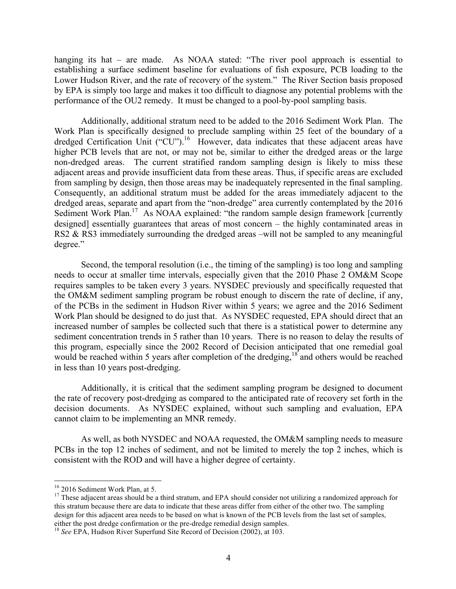hanging its hat – are made. As NOAA stated: "The river pool approach is essential to establishing a surface sediment baseline for evaluations of fish exposure, PCB loading to the Lower Hudson River, and the rate of recovery of the system." The River Section basis proposed by EPA is simply too large and makes it too difficult to diagnose any potential problems with the performance of the OU2 remedy. It must be changed to a pool-by-pool sampling basis.

Additionally, additional stratum need to be added to the 2016 Sediment Work Plan. The Work Plan is specifically designed to preclude sampling within 25 feet of the boundary of a dredged Certification Unit ("CU").<sup>16</sup> However, data indicates that these adjacent areas have higher PCB levels that are not, or may not be, similar to either the dredged areas or the large non-dredged areas. The current stratified random sampling design is likely to miss these adjacent areas and provide insufficient data from these areas. Thus, if specific areas are excluded from sampling by design, then those areas may be inadequately represented in the final sampling. Consequently, an additional stratum must be added for the areas immediately adjacent to the dredged areas, separate and apart from the "non-dredge" area currently contemplated by the 2016 Sediment Work Plan.<sup>17</sup> As NOAA explained: "the random sample design framework [currently designed] essentially guarantees that areas of most concern – the highly contaminated areas in RS2 & RS3 immediately surrounding the dredged areas –will not be sampled to any meaningful degree."

Second, the temporal resolution (i.e., the timing of the sampling) is too long and sampling needs to occur at smaller time intervals, especially given that the 2010 Phase 2 OM&M Scope requires samples to be taken every 3 years. NYSDEC previously and specifically requested that the OM&M sediment sampling program be robust enough to discern the rate of decline, if any, of the PCBs in the sediment in Hudson River within 5 years; we agree and the 2016 Sediment Work Plan should be designed to do just that. As NYSDEC requested, EPA should direct that an increased number of samples be collected such that there is a statistical power to determine any sediment concentration trends in 5 rather than 10 years. There is no reason to delay the results of this program, especially since the 2002 Record of Decision anticipated that one remedial goal would be reached within 5 years after completion of the dredging,<sup>18</sup> and others would be reached in less than 10 years post-dredging.

Additionally, it is critical that the sediment sampling program be designed to document the rate of recovery post-dredging as compared to the anticipated rate of recovery set forth in the decision documents. As NYSDEC explained, without such sampling and evaluation, EPA cannot claim to be implementing an MNR remedy.

As well, as both NYSDEC and NOAA requested, the OM&M sampling needs to measure PCBs in the top 12 inches of sediment, and not be limited to merely the top 2 inches, which is consistent with the ROD and will have a higher degree of certainty.

<sup>&</sup>lt;sup>16</sup> 2016 Sediment Work Plan, at 5.<br><sup>17</sup> These adjacent areas should be a third stratum, and EPA should consider not utilizing a randomized approach for this stratum because there are data to indicate that these areas differ from either of the other two. The sampling design for this adjacent area needs to be based on what is known of the PCB levels from the last set of samples,

either the post dredge confirmation or the pre-dredge remedial design samples. <sup>18</sup> *See* EPA, Hudson River Superfund Site Record of Decision (2002), at 103.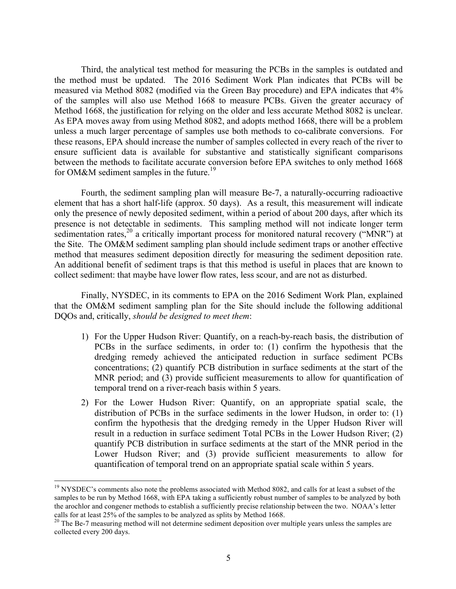Third, the analytical test method for measuring the PCBs in the samples is outdated and the method must be updated. The 2016 Sediment Work Plan indicates that PCBs will be measured via Method 8082 (modified via the Green Bay procedure) and EPA indicates that 4% of the samples will also use Method 1668 to measure PCBs. Given the greater accuracy of Method 1668, the justification for relying on the older and less accurate Method 8082 is unclear. As EPA moves away from using Method 8082, and adopts method 1668, there will be a problem unless a much larger percentage of samples use both methods to co-calibrate conversions. For these reasons, EPA should increase the number of samples collected in every reach of the river to ensure sufficient data is available for substantive and statistically significant comparisons between the methods to facilitate accurate conversion before EPA switches to only method 1668 for OM&M sediment samples in the future.<sup>19</sup>

Fourth, the sediment sampling plan will measure Be-7, a naturally-occurring radioactive element that has a short half-life (approx. 50 days). As a result, this measurement will indicate only the presence of newly deposited sediment, within a period of about 200 days, after which its presence is not detectable in sediments. This sampling method will not indicate longer term sedimentation rates,  $20$  a critically important process for monitored natural recovery ("MNR") at the Site. The OM&M sediment sampling plan should include sediment traps or another effective method that measures sediment deposition directly for measuring the sediment deposition rate. An additional benefit of sediment traps is that this method is useful in places that are known to collect sediment: that maybe have lower flow rates, less scour, and are not as disturbed.

Finally, NYSDEC, in its comments to EPA on the 2016 Sediment Work Plan, explained that the OM&M sediment sampling plan for the Site should include the following additional DQOs and, critically, *should be designed to meet them*:

- 1) For the Upper Hudson River: Quantify, on a reach-by-reach basis, the distribution of PCBs in the surface sediments, in order to: (1) confirm the hypothesis that the dredging remedy achieved the anticipated reduction in surface sediment PCBs concentrations; (2) quantify PCB distribution in surface sediments at the start of the MNR period; and (3) provide sufficient measurements to allow for quantification of temporal trend on a river-reach basis within 5 years.
- 2) For the Lower Hudson River: Quantify, on an appropriate spatial scale, the distribution of PCBs in the surface sediments in the lower Hudson, in order to: (1) confirm the hypothesis that the dredging remedy in the Upper Hudson River will result in a reduction in surface sediment Total PCBs in the Lower Hudson River; (2) quantify PCB distribution in surface sediments at the start of the MNR period in the Lower Hudson River; and (3) provide sufficient measurements to allow for quantification of temporal trend on an appropriate spatial scale within 5 years.

<sup>&</sup>lt;sup>19</sup> NYSDEC's comments also note the problems associated with Method 8082, and calls for at least a subset of the samples to be run by Method 1668, with EPA taking a sufficiently robust number of samples to be analyzed by both the arochlor and congener methods to establish a sufficiently precise relationship between the two. NOAA's letter calls for at least 25% of the samples to be analyzed as splits by Method 1668.

 $20$  The Be-7 measuring method will not determine sediment deposition over multiple years unless the samples are collected every 200 days.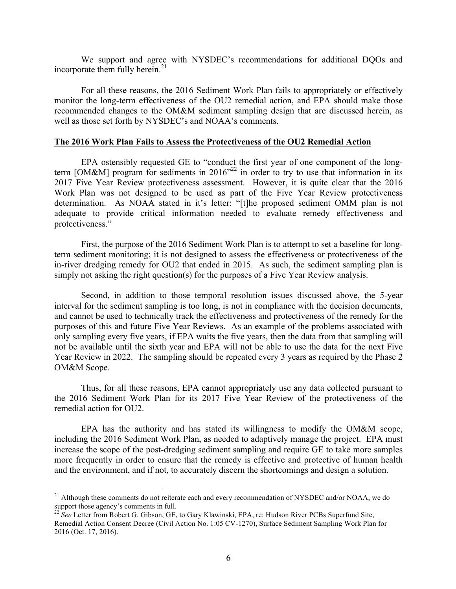We support and agree with NYSDEC's recommendations for additional DQOs and incorporate them fully herein.<sup>21</sup>

For all these reasons, the 2016 Sediment Work Plan fails to appropriately or effectively monitor the long-term effectiveness of the OU2 remedial action, and EPA should make those recommended changes to the OM&M sediment sampling design that are discussed herein, as well as those set forth by NYSDEC's and NOAA's comments.

## **The 2016 Work Plan Fails to Assess the Protectiveness of the OU2 Remedial Action**

EPA ostensibly requested GE to "conduct the first year of one component of the longterm [OM&M] program for sediments in  $2016^{32}$  in order to try to use that information in its 2017 Five Year Review protectiveness assessment. However, it is quite clear that the 2016 Work Plan was not designed to be used as part of the Five Year Review protectiveness determination. As NOAA stated in it's letter: "[t]he proposed sediment OMM plan is not adequate to provide critical information needed to evaluate remedy effectiveness and protectiveness."

First, the purpose of the 2016 Sediment Work Plan is to attempt to set a baseline for longterm sediment monitoring; it is not designed to assess the effectiveness or protectiveness of the in-river dredging remedy for OU2 that ended in 2015. As such, the sediment sampling plan is simply not asking the right question(s) for the purposes of a Five Year Review analysis.

Second, in addition to those temporal resolution issues discussed above, the 5-year interval for the sediment sampling is too long, is not in compliance with the decision documents, and cannot be used to technically track the effectiveness and protectiveness of the remedy for the purposes of this and future Five Year Reviews. As an example of the problems associated with only sampling every five years, if EPA waits the five years, then the data from that sampling will not be available until the sixth year and EPA will not be able to use the data for the next Five Year Review in 2022. The sampling should be repeated every 3 years as required by the Phase 2 OM&M Scope.

Thus, for all these reasons, EPA cannot appropriately use any data collected pursuant to the 2016 Sediment Work Plan for its 2017 Five Year Review of the protectiveness of the remedial action for OU2.

EPA has the authority and has stated its willingness to modify the OM&M scope, including the 2016 Sediment Work Plan, as needed to adaptively manage the project. EPA must increase the scope of the post-dredging sediment sampling and require GE to take more samples more frequently in order to ensure that the remedy is effective and protective of human health and the environment, and if not, to accurately discern the shortcomings and design a solution.

<sup>&</sup>lt;sup>21</sup> Although these comments do not reiterate each and every recommendation of NYSDEC and/or NOAA, we do support those agency's comments in full.<br><sup>22</sup> *See* Letter from Robert G. Gibson, GE, to Gary Klawinski, EPA, re: Hudson River PCBs Superfund Site,

Remedial Action Consent Decree (Civil Action No. 1:05 CV-1270), Surface Sediment Sampling Work Plan for 2016 (Oct. 17, 2016).